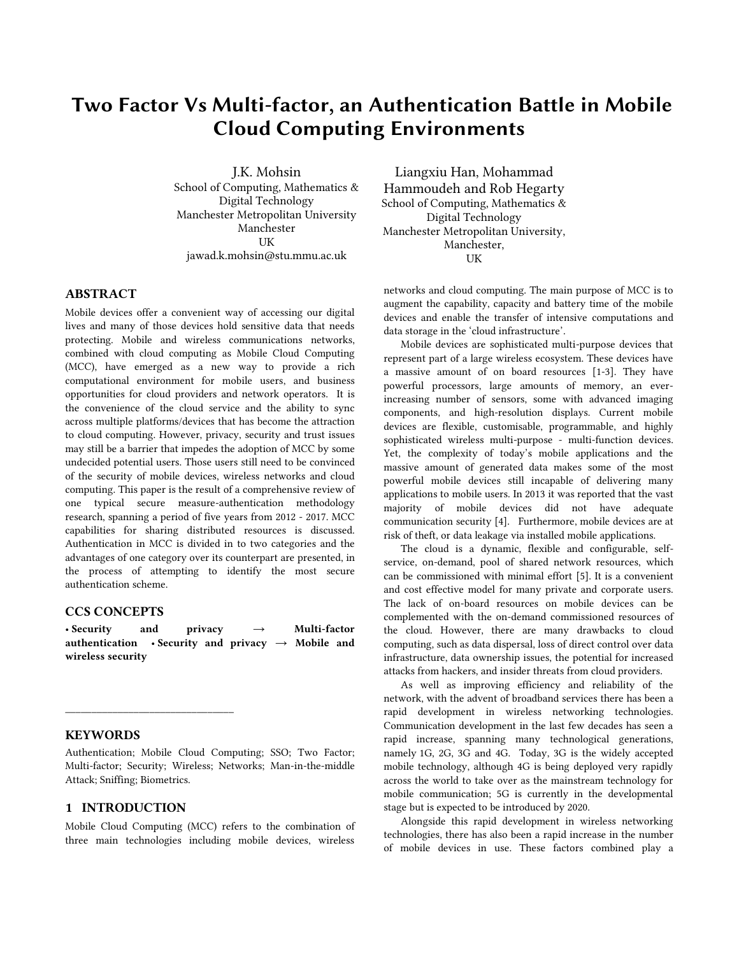# **Two Factor Vs Multi-factor, an Authentication Battle in Mobile Cloud Computing Environments**

J.K. Mohsin School of Computing, Mathematics & Digital Technology Manchester Metropolitan University Manchester UK jawad.k.mohsin@stu.mmu.ac.uk

# **ABSTRACT**

Mobile devices offer a convenient way of accessing our digital lives and many of those devices hold sensitive data that needs protecting. Mobile and wireless communications networks, combined with cloud computing as Mobile Cloud Computing (MCC), have emerged as a new way to provide a rich computational environment for mobile users, and business opportunities for cloud providers and network operators. It is the convenience of the cloud service and the ability to sync across multiple platforms/devices that has become the attraction to cloud computing. However, privacy, security and trust issues may still be a barrier that impedes the adoption of MCC by some undecided potential users. Those users still need to be convinced of the security of mobile devices, wireless networks and cloud computing. This paper is the result of a comprehensive review of one typical secure measure-authentication methodology research, spanning a period of five years from 2012 - 2017. MCC capabilities for sharing distributed resources is discussed. Authentication in MCC is divided in to two categories and the advantages of one category over its counterpart are presented, in the process of attempting to identify the most secure authentication scheme.

## **CCS CONCEPTS**

• **Security and privacy** → **Multi-factor authentication** • **Security and privacy** → **Mobile and wireless security**

## **KEYWORDS**

Authentication; Mobile Cloud Computing; SSO; Two Factor; Multi-factor; Security; Wireless; Networks; Man-in-the-middle Attack; Sniffing; Biometrics.

## **1 INTRODUCTION**

**\_\_\_\_\_\_\_\_\_\_\_\_\_\_\_\_\_\_\_\_\_\_\_\_\_\_\_\_\_\_\_\_**

Mobile Cloud Computing (MCC) refers to the combination of three main technologies including mobile devices, wireless

Liangxiu Han, Mohammad Hammoudeh and Rob Hegarty School of Computing, Mathematics & Digital Technology Manchester Metropolitan University, Manchester, **UK** 

networks and cloud computing. The main purpose of MCC is to augment the capability, capacity and battery time of the mobile devices and enable the transfer of intensive computations and data storage in the 'cloud infrastructure'.

Mobile devices are sophisticated multi-purpose devices that represent part of a large wireless ecosystem. These devices have a massive amount of on board resources [\[1-3\].](#page-9-0) They have powerful processors, large amounts of memory, an everincreasing number of sensors, some with advanced imaging components, and high-resolution displays. Current mobile devices are flexible, customisable, programmable, and highly sophisticated wireless multi-purpose - multi-function devices. Yet, the complexity of today's mobile applications and the massive amount of generated data makes some of the most powerful mobile devices still incapable of delivering many applications to mobile users. In 2013 it was reported that the vast majority of mobile devices did not have adequate communication security [\[4\].](#page-9-1) Furthermore, mobile devices are at risk of theft, or data leakage via installed mobile applications.

The cloud is a dynamic, flexible and configurable, selfservice, on-demand, pool of shared network resources, which can be commissioned with minimal effort [\[5\].](#page-9-2) It is a convenient and cost effective model for many private and corporate users. The lack of on-board resources on mobile devices can be complemented with the on-demand commissioned resources of the cloud. However, there are many drawbacks to cloud computing, such as data dispersal, loss of direct control over data infrastructure, data ownership issues, the potential for increased attacks from hackers, and insider threats from cloud providers.

As well as improving efficiency and reliability of the network, with the advent of broadband services there has been a rapid development in wireless networking technologies. Communication development in the last few decades has seen a rapid increase, spanning many technological generations, namely 1G, 2G, 3G and 4G. Today, 3G is the widely accepted mobile technology, although 4G is being deployed very rapidly across the world to take over as the mainstream technology for mobile communication; 5G is currently in the developmental stage but is expected to be introduced by 2020.

Alongside this rapid development in wireless networking technologies, there has also been a rapid increase in the number of mobile devices in use. These factors combined play a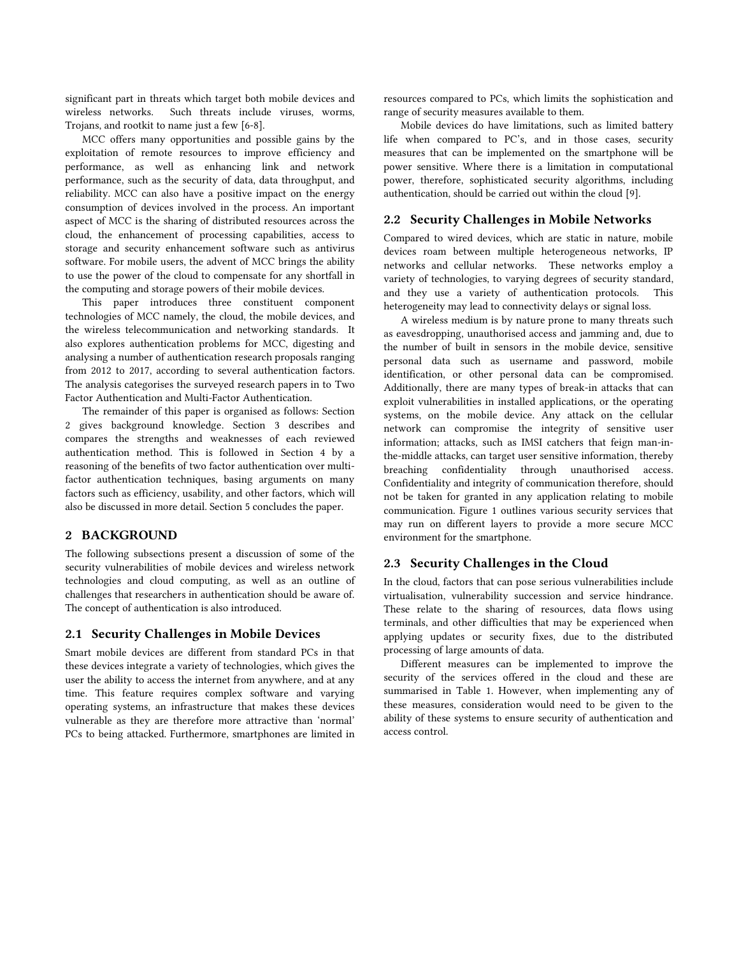significant part in threats which target both mobile devices and wireless networks. Such threats include viruses, worms, Trojans, and rootkit to name just a few [\[6-8\].](#page-9-3)

MCC offers many opportunities and possible gains by the exploitation of remote resources to improve efficiency and performance, as well as enhancing link and network performance, such as the security of data, data throughput, and reliability. MCC can also have a positive impact on the energy consumption of devices involved in the process. An important aspect of MCC is the sharing of distributed resources across the cloud, the enhancement of processing capabilities, access to storage and security enhancement software such as antivirus software. For mobile users, the advent of MCC brings the ability to use the power of the cloud to compensate for any shortfall in the computing and storage powers of their mobile devices.

This paper introduces three constituent component technologies of MCC namely, the cloud, the mobile devices, and the wireless telecommunication and networking standards. It also explores authentication problems for MCC, digesting and analysing a number of authentication research proposals ranging from 2012 to 2017, according to several authentication factors. The analysis categorises the surveyed research papers in to Two Factor Authentication and Multi-Factor Authentication.

The remainder of this paper is organised as follows: Section 2 gives background knowledge. Section 3 describes and compares the strengths and weaknesses of each reviewed authentication method. This is followed in Section 4 by a reasoning of the benefits of two factor authentication over multifactor authentication techniques, basing arguments on many factors such as efficiency, usability, and other factors, which will also be discussed in more detail. Section 5 concludes the paper.

## **2 BACKGROUND**

The following subsections present a discussion of some of the security vulnerabilities of mobile devices and wireless network technologies and cloud computing, as well as an outline of challenges that researchers in authentication should be aware of. The concept of authentication is also introduced.

## **2.1 Security Challenges in Mobile Devices**

Smart mobile devices are different from standard PCs in that these devices integrate a variety of technologies, which gives the user the ability to access the internet from anywhere, and at any time. This feature requires complex software and varying operating systems, an infrastructure that makes these devices vulnerable as they are therefore more attractive than 'normal' PCs to being attacked. Furthermore, smartphones are limited in resources compared to PCs, which limits the sophistication and range of security measures available to them.

Mobile devices do have limitations, such as limited battery life when compared to PC's, and in those cases, security measures that can be implemented on the smartphone will be power sensitive. Where there is a limitation in computational power, therefore, sophisticated security algorithms, including authentication, should be carried out within the cloud [\[9\].](#page-9-4)

## **2.2 Security Challenges in Mobile Networks**

Compared to wired devices, which are static in nature, mobile devices roam between multiple heterogeneous networks, IP networks and cellular networks. These networks employ a variety of technologies, to varying degrees of security standard, and they use a variety of authentication protocols. This heterogeneity may lead to connectivity delays or signal loss.

<span id="page-1-0"></span>A wireless medium is by nature prone to many threats such as eavesdropping, unauthorised access and jamming and, due to the number of built in sensors in the mobile device, sensitive personal data such as username and password, mobile identification, or other personal data can be compromised. Additionally, there are many types of break-in attacks that can exploit vulnerabilities in installed applications, or the operating systems, on the mobile device. Any attack on the cellular network can compromise the integrity of sensitive user information; attacks, such as IMSI catchers that feign man-inthe-middle attacks, can target user sensitive information, thereby breaching confidentiality through unauthorised access. Confidentiality and integrity of communication therefore, should not be taken for granted in any application relating to mobile communication. [Figure 1](#page-1-0) outlines various security services that may run on different layers to provide a more secure MCC environment for the smartphone.

# **2.3 Security Challenges in the Cloud**

In the cloud, factors that can pose serious vulnerabilities include virtualisation, vulnerability succession and service hindrance. These relate to the sharing of resources, data flows using terminals, and other difficulties that may be experienced when applying updates or security fixes, due to the distributed processing of large amounts of data.

Different measures can be implemented to improve the security of the services offered in the cloud and these are summarised in [Table 1.](#page-2-0) However, when implementing any of these measures, consideration would need to be given to the ability of these systems to ensure security of authentication and access control.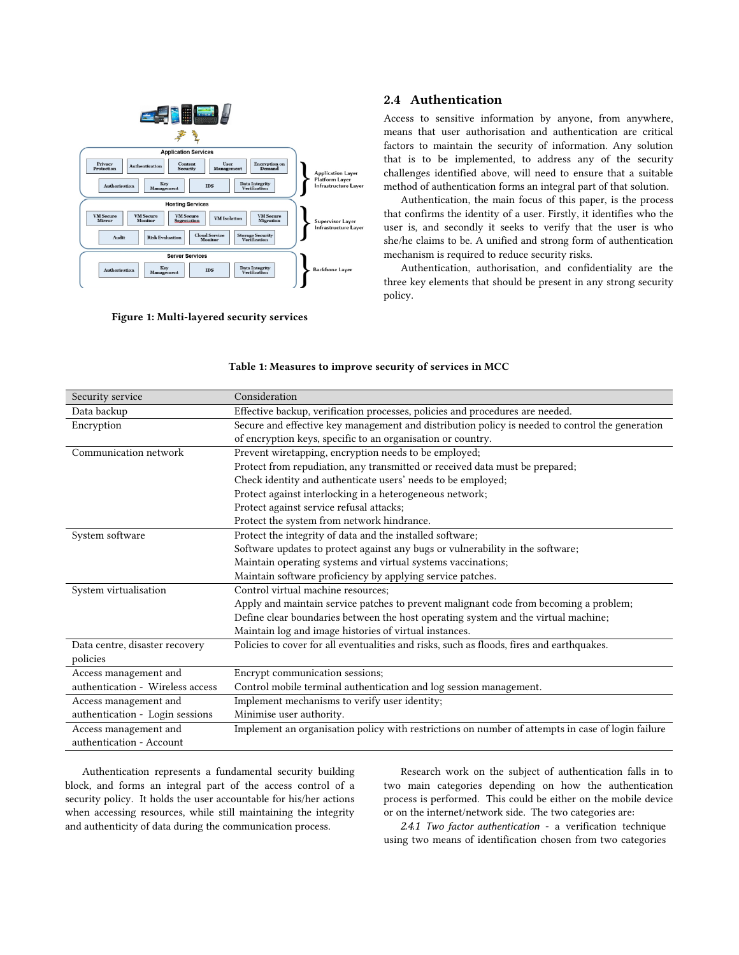

**Figure 1: Multi-layered security services**

## **2.4 Authentication**

Access to sensitive information by anyone, from anywhere, means that user authorisation and authentication are critical factors to maintain the security of information. Any solution that is to be implemented, to address any of the security challenges identified above, will need to ensure that a suitable method of authentication forms an integral part of that solution.

Authentication, the main focus of this paper, is the process that confirms the identity of a user. Firstly, it identifies who the user is, and secondly it seeks to verify that the user is who she/he claims to be. A unified and strong form of authentication mechanism is required to reduce security risks.

Authentication, authorisation, and confidentiality are the three key elements that should be present in any strong security policy.

<span id="page-2-0"></span>

| Security service                 | Consideration                                                                                     |  |
|----------------------------------|---------------------------------------------------------------------------------------------------|--|
| Data backup                      | Effective backup, verification processes, policies and procedures are needed.                     |  |
| Encryption                       | Secure and effective key management and distribution policy is needed to control the generation   |  |
|                                  | of encryption keys, specific to an organisation or country.                                       |  |
| Communication network            | Prevent wiretapping, encryption needs to be employed;                                             |  |
|                                  | Protect from repudiation, any transmitted or received data must be prepared;                      |  |
|                                  | Check identity and authenticate users' needs to be employed;                                      |  |
|                                  | Protect against interlocking in a heterogeneous network;                                          |  |
|                                  | Protect against service refusal attacks;                                                          |  |
|                                  | Protect the system from network hindrance.                                                        |  |
| System software                  | Protect the integrity of data and the installed software;                                         |  |
|                                  | Software updates to protect against any bugs or vulnerability in the software;                    |  |
|                                  | Maintain operating systems and virtual systems vaccinations;                                      |  |
|                                  | Maintain software proficiency by applying service patches.                                        |  |
| System virtualisation            | Control virtual machine resources;                                                                |  |
|                                  | Apply and maintain service patches to prevent malignant code from becoming a problem;             |  |
|                                  | Define clear boundaries between the host operating system and the virtual machine;                |  |
|                                  | Maintain log and image histories of virtual instances.                                            |  |
| Data centre, disaster recovery   | Policies to cover for all eventualities and risks, such as floods, fires and earthquakes.         |  |
| policies                         |                                                                                                   |  |
| Access management and            | Encrypt communication sessions;                                                                   |  |
| authentication - Wireless access | Control mobile terminal authentication and log session management.                                |  |
| Access management and            | Implement mechanisms to verify user identity;                                                     |  |
| authentication - Login sessions  | Minimise user authority.                                                                          |  |
| Access management and            | Implement an organisation policy with restrictions on number of attempts in case of login failure |  |
| authentication - Account         |                                                                                                   |  |

#### **Table 1: Measures to improve security of services in MCC**

Authentication represents a fundamental security building block, and forms an integral part of the access control of a security policy. It holds the user accountable for his/her actions when accessing resources, while still maintaining the integrity and authenticity of data during the communication process.

Research work on the subject of authentication falls in to two main categories depending on how the authentication process is performed. This could be either on the mobile device or on the internet/network side. The two categories are:

*2.4.1 Two factor authentication* - a verification technique using two means of identification chosen from two categories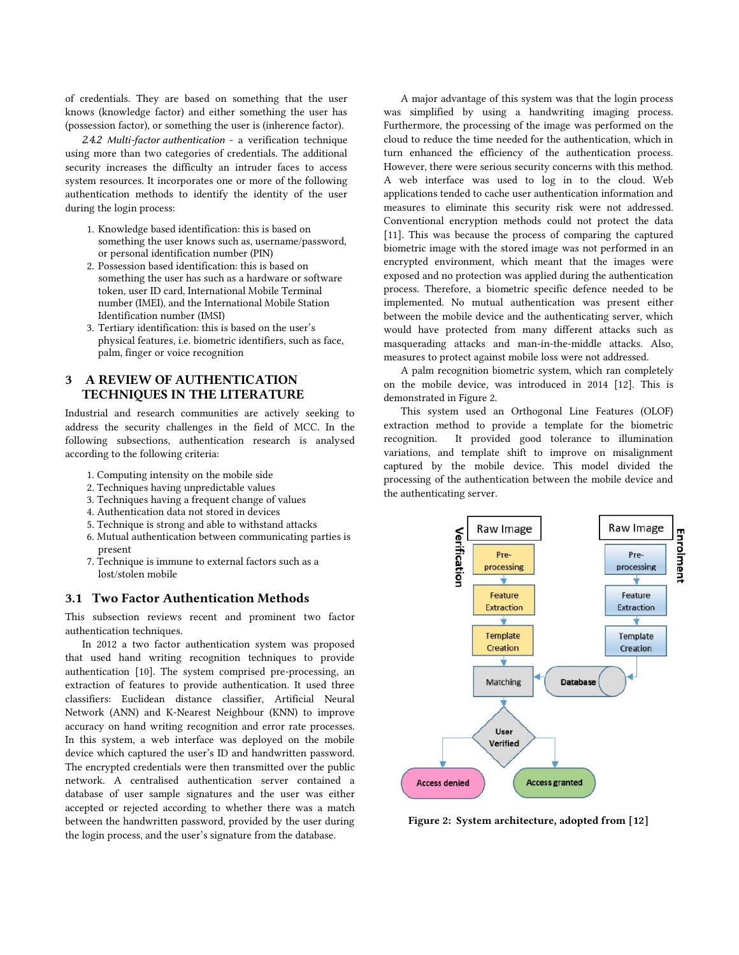of credentials. They are based on something that the user knows (knowledge factor) and either something the user has (possession factor), or something the user is (inherence factor).

*2.4.2 Multi-factor authentication* - a verification technique using more than two categories of credentials. The additional security increases the difficulty an intruder faces to access system resources. It incorporates one or more of the following authentication methods to identify the identity of the user during the login process:

- 1. Knowledge based identification: this is based on something the user knows such as, username/password, or personal identification number (PIN)
- 2. Possession based identification: this is based on something the user has such as a hardware or software token, user ID card, International Mobile Terminal number (IMEI), and the International Mobile Station Identification number (IMSI)
- 3. Tertiary identification: this is based on the user's physical features, i.e. biometric identifiers, such as face, palm, finger or voice recognition

## **3 A REVIEW OF AUTHENTICATION TECHNIQUES IN THE LITERATURE**

Industrial and research communities are actively seeking to address the security challenges in the field of MCC. In the following subsections, authentication research is analysed according to the following criteria:

- 1. Computing intensity on the mobile side
- 2. Techniques having unpredictable values
- 3. Techniques having a frequent change of values
- 4. Authentication data not stored in devices
- 5. Technique is strong and able to withstand attacks
- 6. Mutual authentication between communicating parties is present
- 7. Technique is immune to external factors such as a lost/stolen mobile

#### **3.1 Two Factor Authentication Methods**

This subsection reviews recent and prominent two factor authentication techniques.

In 2012 a two factor authentication system was proposed that used hand writing recognition techniques to provide authentication [\[10\].](#page-9-5) The system comprised pre-processing, an extraction of features to provide authentication. It used three classifiers: Euclidean distance classifier, Artificial Neural Network (ANN) and K-Nearest Neighbour (KNN) to improve accuracy on hand writing recognition and error rate processes. In this system, a web interface was deployed on the mobile device which captured the user's ID and handwritten password. The encrypted credentials were then transmitted over the public network. A centralised authentication server contained a database of user sample signatures and the user was either accepted or rejected according to whether there was a match between the handwritten password, provided by the user during the login process, and the user's signature from the database.

A major advantage of this system was that the login process was simplified by using a handwriting imaging process. Furthermore, the processing of the image was performed on the cloud to reduce the time needed for the authentication, which in turn enhanced the efficiency of the authentication process. However, there were serious security concerns with this method. A web interface was used to log in to the cloud. Web applications tended to cache user authentication information and measures to eliminate this security risk were not addressed. Conventional encryption methods could not protect the data [\[11\].](#page-9-6) This was because the process of comparing the captured biometric image with the stored image was not performed in an encrypted environment, which meant that the images were exposed and no protection was applied during the authentication process. Therefore, a biometric specific defence needed to be implemented. No mutual authentication was present either between the mobile device and the authenticating server, which would have protected from many different attacks such as masquerading attacks and man-in-the-middle attacks. Also, measures to protect against mobile loss were not addressed.

A palm recognition biometric system, which ran completely on the mobile device, was introduced in 2014 [\[12\].](#page-9-7) This is demonstrated in [Figure 2.](#page-3-0)

This system used an Orthogonal Line Features (OLOF) extraction method to provide a template for the biometric recognition. It provided good tolerance to illumination variations, and template shift to improve on misalignment captured by the mobile device. This model divided the processing of the authentication between the mobile device and the authenticating server.



<span id="page-3-0"></span>**Figure 2: System architecture, adopted from [\[12\]](#page-9-7)**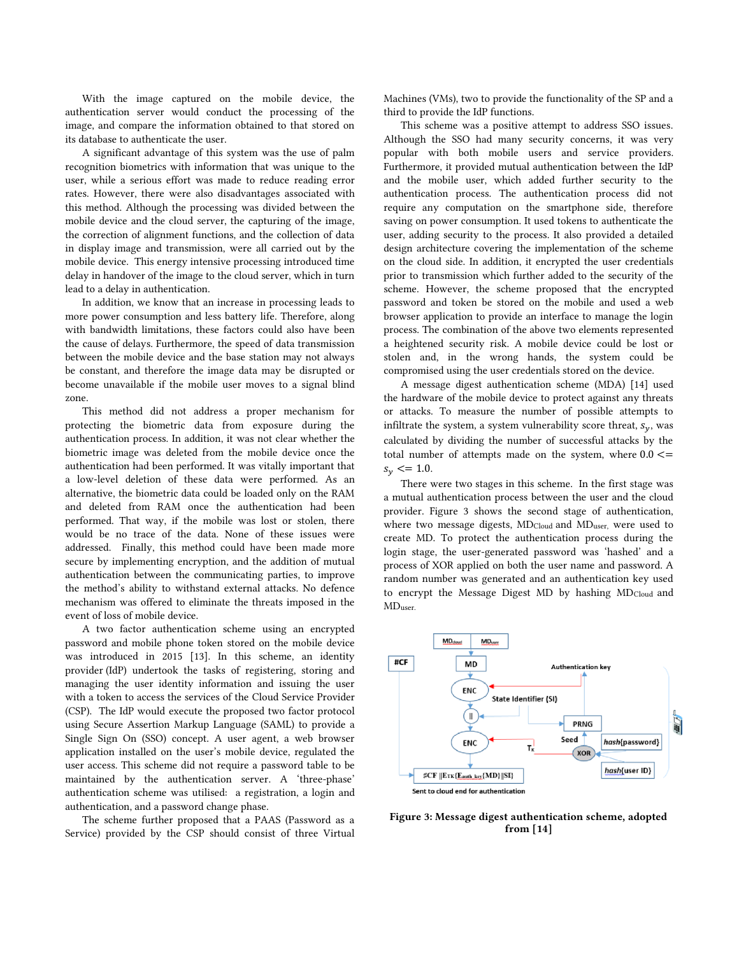With the image captured on the mobile device, the authentication server would conduct the processing of the image, and compare the information obtained to that stored on its database to authenticate the user.

A significant advantage of this system was the use of palm recognition biometrics with information that was unique to the user, while a serious effort was made to reduce reading error rates. However, there were also disadvantages associated with this method. Although the processing was divided between the mobile device and the cloud server, the capturing of the image, the correction of alignment functions, and the collection of data in display image and transmission, were all carried out by the mobile device. This energy intensive processing introduced time delay in handover of the image to the cloud server, which in turn lead to a delay in authentication.

In addition, we know that an increase in processing leads to more power consumption and less battery life. Therefore, along with bandwidth limitations, these factors could also have been the cause of delays. Furthermore, the speed of data transmission between the mobile device and the base station may not always be constant, and therefore the image data may be disrupted or become unavailable if the mobile user moves to a signal blind zone.

This method did not address a proper mechanism for protecting the biometric data from exposure during the authentication process. In addition, it was not clear whether the biometric image was deleted from the mobile device once the authentication had been performed. It was vitally important that a low-level deletion of these data were performed. As an alternative, the biometric data could be loaded only on the RAM and deleted from RAM once the authentication had been performed. That way, if the mobile was lost or stolen, there would be no trace of the data. None of these issues were addressed. Finally, this method could have been made more secure by implementing encryption, and the addition of mutual authentication between the communicating parties, to improve the method's ability to withstand external attacks. No defence mechanism was offered to eliminate the threats imposed in the event of loss of mobile device.

A two factor authentication scheme using an encrypted password and mobile phone token stored on the mobile device was introduced in 2015 [\[13\].](#page-9-8) In this scheme, an identity provider (IdP) undertook the tasks of registering, storing and managing the user identity information and issuing the user with a token to access the services of the Cloud Service Provider (CSP). The IdP would execute the proposed two factor protocol using Secure Assertion Markup Language (SAML) to provide a Single Sign On (SSO) concept. A user agent, a web browser application installed on the user's mobile device, regulated the user access. This scheme did not require a password table to be maintained by the authentication server. A 'three-phase' authentication scheme was utilised: a registration, a login and authentication, and a password change phase.

The scheme further proposed that a PAAS (Password as a Service) provided by the CSP should consist of three Virtual Machines (VMs), two to provide the functionality of the SP and a third to provide the IdP functions.

This scheme was a positive attempt to address SSO issues. Although the SSO had many security concerns, it was very popular with both mobile users and service providers. Furthermore, it provided mutual authentication between the IdP and the mobile user, which added further security to the authentication process. The authentication process did not require any computation on the smartphone side, therefore saving on power consumption. It used tokens to authenticate the user, adding security to the process. It also provided a detailed design architecture covering the implementation of the scheme on the cloud side. In addition, it encrypted the user credentials prior to transmission which further added to the security of the scheme. However, the scheme proposed that the encrypted password and token be stored on the mobile and used a web browser application to provide an interface to manage the login process. The combination of the above two elements represented a heightened security risk. A mobile device could be lost or stolen and, in the wrong hands, the system could be compromised using the user credentials stored on the device.

A message digest authentication scheme (MDA) [\[14\]](#page-9-9) used the hardware of the mobile device to protect against any threats or attacks. To measure the number of possible attempts to infiltrate the system, a system vulnerability score threat,  $s_v$ , was calculated by dividing the number of successful attacks by the total number of attempts made on the system, where  $0.0 \le$  $s_v \leq 1.0$ .

There were two stages in this scheme. In the first stage was a mutual authentication process between the user and the cloud provider. [Figure 3](#page-4-0) shows the second stage of authentication, where two message digests, MDCloud and MDuser, were used to create MD. To protect the authentication process during the login stage, the user-generated password was 'hashed' and a process of XOR applied on both the user name and password. A random number was generated and an authentication key used to encrypt the Message Digest MD by hashing MDCloud and MDuser.



<span id="page-4-0"></span>**Figure 3: Message digest authentication scheme, adopted from [\[14\]](#page-9-9)**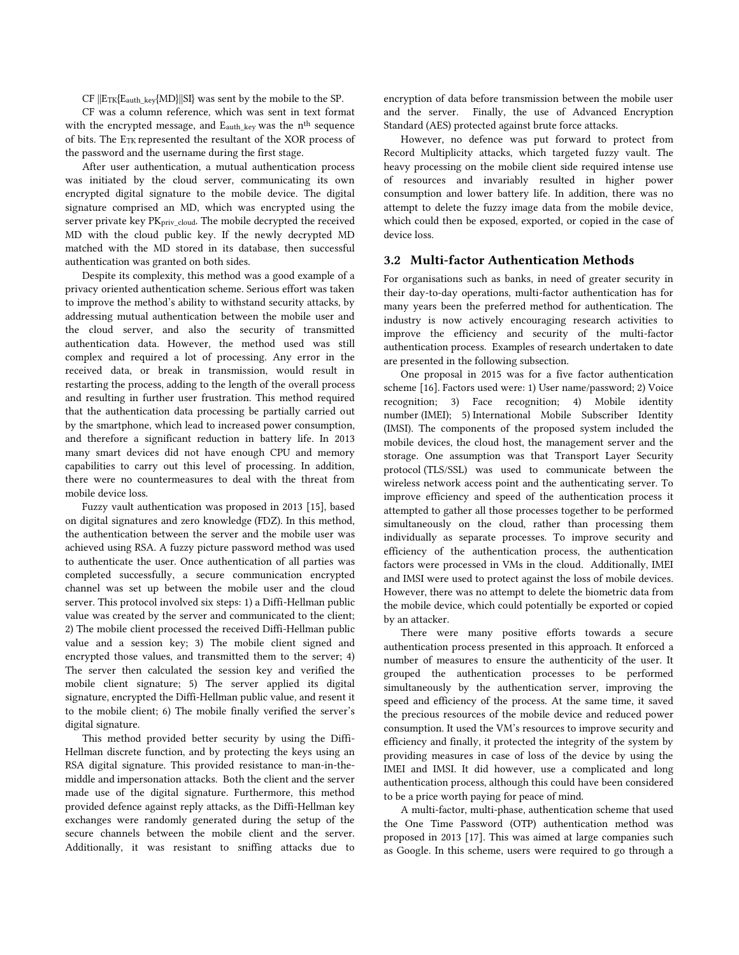CF  $||ETK|E<sub>auth key</sub>[MD]||SI$  was sent by the mobile to the SP.

CF was a column reference, which was sent in text format with the encrypted message, and Eauth\_key was the n<sup>th</sup> sequence of bits. The ETK represented the resultant of the XOR process of the password and the username during the first stage.

After user authentication, a mutual authentication process was initiated by the cloud server, communicating its own encrypted digital signature to the mobile device. The digital signature comprised an MD, which was encrypted using the server private key PK<sub>priv\_cloud</sub>. The mobile decrypted the received MD with the cloud public key. If the newly decrypted MD matched with the MD stored in its database, then successful authentication was granted on both sides.

Despite its complexity, this method was a good example of a privacy oriented authentication scheme. Serious effort was taken to improve the method's ability to withstand security attacks, by addressing mutual authentication between the mobile user and the cloud server, and also the security of transmitted authentication data. However, the method used was still complex and required a lot of processing. Any error in the received data, or break in transmission, would result in restarting the process, adding to the length of the overall process and resulting in further user frustration. This method required that the authentication data processing be partially carried out by the smartphone, which lead to increased power consumption, and therefore a significant reduction in battery life. In 2013 many smart devices did not have enough CPU and memory capabilities to carry out this level of processing. In addition, there were no countermeasures to deal with the threat from mobile device loss.

Fuzzy vault authentication was proposed in 2013 [\[15\],](#page-9-10) based on digital signatures and zero knowledge (FDZ). In this method, the authentication between the server and the mobile user was achieved using RSA. A fuzzy picture password method was used to authenticate the user. Once authentication of all parties was completed successfully, a secure communication encrypted channel was set up between the mobile user and the cloud server. This protocol involved six steps: 1) a Diffi-Hellman public value was created by the server and communicated to the client; 2) The mobile client processed the received Diffi-Hellman public value and a session key; 3) The mobile client signed and encrypted those values, and transmitted them to the server; 4) The server then calculated the session key and verified the mobile client signature; 5) The server applied its digital signature, encrypted the Diffi-Hellman public value, and resent it to the mobile client; 6) The mobile finally verified the server's digital signature.

This method provided better security by using the Diffi-Hellman discrete function, and by protecting the keys using an RSA digital signature. This provided resistance to man-in-themiddle and impersonation attacks. Both the client and the server made use of the digital signature. Furthermore, this method provided defence against reply attacks, as the Diffi-Hellman key exchanges were randomly generated during the setup of the secure channels between the mobile client and the server. Additionally, it was resistant to sniffing attacks due to encryption of data before transmission between the mobile user and the server. Finally, the use of Advanced Encryption Standard (AES) protected against brute force attacks.

However, no defence was put forward to protect from Record Multiplicity attacks, which targeted fuzzy vault. The heavy processing on the mobile client side required intense use of resources and invariably resulted in higher power consumption and lower battery life. In addition, there was no attempt to delete the fuzzy image data from the mobile device, which could then be exposed, exported, or copied in the case of device loss.

## **3.2 Multi-factor Authentication Methods**

For organisations such as banks, in need of greater security in their day-to-day operations, multi-factor authentication has for many years been the preferred method for authentication. The industry is now actively encouraging research activities to improve the efficiency and security of the multi-factor authentication process. Examples of research undertaken to date are presented in the following subsection.

One proposal in 2015 was for a five factor authentication scheme [\[16\].](#page-9-11) Factors used were: 1) User name/password; 2) Voice recognition; 3) Face recognition; 4) Mobile identity number (IMEI); 5) International Mobile Subscriber Identity (IMSI). The components of the proposed system included the mobile devices, the cloud host, the management server and the storage. One assumption was that Transport Layer Security protocol (TLS/SSL) was used to communicate between the wireless network access point and the authenticating server. To improve efficiency and speed of the authentication process it attempted to gather all those processes together to be performed simultaneously on the cloud, rather than processing them individually as separate processes. To improve security and efficiency of the authentication process, the authentication factors were processed in VMs in the cloud. Additionally, IMEI and IMSI were used to protect against the loss of mobile devices. However, there was no attempt to delete the biometric data from the mobile device, which could potentially be exported or copied by an attacker.

There were many positive efforts towards a secure authentication process presented in this approach. It enforced a number of measures to ensure the authenticity of the user. It grouped the authentication processes to be performed simultaneously by the authentication server, improving the speed and efficiency of the process. At the same time, it saved the precious resources of the mobile device and reduced power consumption. It used the VM's resources to improve security and efficiency and finally, it protected the integrity of the system by providing measures in case of loss of the device by using the IMEI and IMSI. It did however, use a complicated and long authentication process, although this could have been considered to be a price worth paying for peace of mind.

A multi-factor, multi-phase, authentication scheme that used the One Time Password (OTP) authentication method was proposed in 2013 [\[17\].](#page-9-12) This was aimed at large companies such as Google. In this scheme, users were required to go through a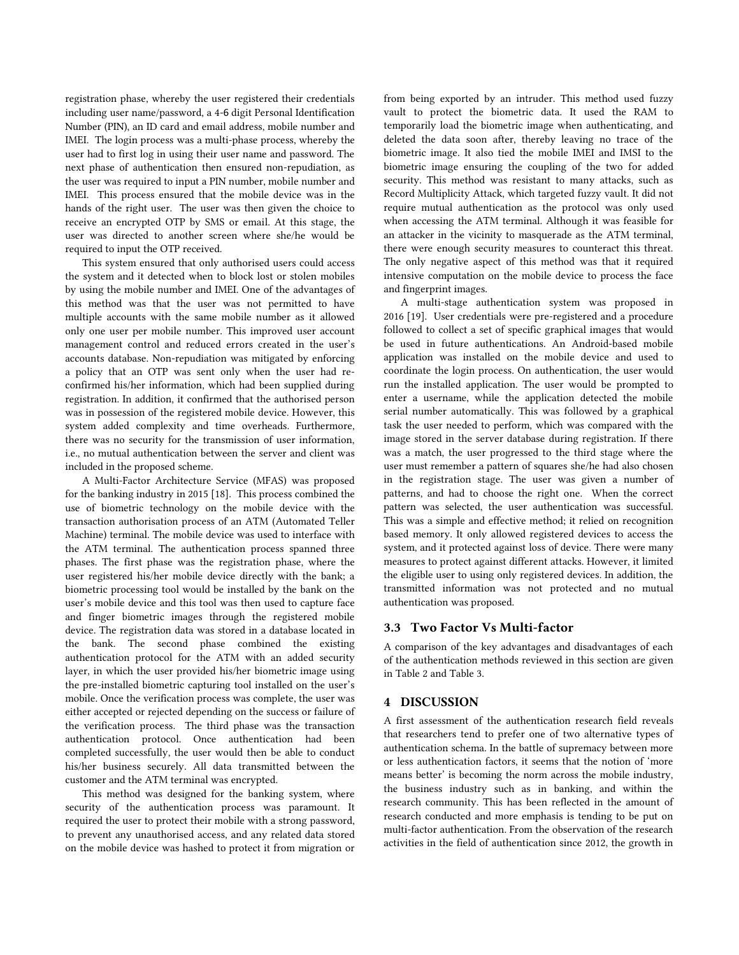registration phase, whereby the user registered their credentials including user name/password, a 4-6 digit Personal Identification Number (PIN), an ID card and email address, mobile number and IMEI. The login process was a multi-phase process, whereby the user had to first log in using their user name and password. The next phase of authentication then ensured non-repudiation, as the user was required to input a PIN number, mobile number and IMEI. This process ensured that the mobile device was in the hands of the right user. The user was then given the choice to receive an encrypted OTP by SMS or email. At this stage, the user was directed to another screen where she/he would be required to input the OTP received.

This system ensured that only authorised users could access the system and it detected when to block lost or stolen mobiles by using the mobile number and IMEI. One of the advantages of this method was that the user was not permitted to have multiple accounts with the same mobile number as it allowed only one user per mobile number. This improved user account management control and reduced errors created in the user's accounts database. Non-repudiation was mitigated by enforcing a policy that an OTP was sent only when the user had reconfirmed his/her information, which had been supplied during registration. In addition, it confirmed that the authorised person was in possession of the registered mobile device. However, this system added complexity and time overheads. Furthermore, there was no security for the transmission of user information, i.e., no mutual authentication between the server and client was included in the proposed scheme.

A Multi-Factor Architecture Service (MFAS) was proposed for the banking industry in 2015 [\[18\].](#page-9-13) This process combined the use of biometric technology on the mobile device with the transaction authorisation process of an ATM (Automated Teller Machine) terminal. The mobile device was used to interface with the ATM terminal. The authentication process spanned three phases. The first phase was the registration phase, where the user registered his/her mobile device directly with the bank; a biometric processing tool would be installed by the bank on the user's mobile device and this tool was then used to capture face and finger biometric images through the registered mobile device. The registration data was stored in a database located in the bank. The second phase combined the existing authentication protocol for the ATM with an added security layer, in which the user provided his/her biometric image using the pre-installed biometric capturing tool installed on the user's mobile. Once the verification process was complete, the user was either accepted or rejected depending on the success or failure of the verification process. The third phase was the transaction authentication protocol. Once authentication had been completed successfully, the user would then be able to conduct his/her business securely. All data transmitted between the customer and the ATM terminal was encrypted.

This method was designed for the banking system, where security of the authentication process was paramount. It required the user to protect their mobile with a strong password, to prevent any unauthorised access, and any related data stored on the mobile device was hashed to protect it from migration or

from being exported by an intruder. This method used fuzzy vault to protect the biometric data. It used the RAM to temporarily load the biometric image when authenticating, and deleted the data soon after, thereby leaving no trace of the biometric image. It also tied the mobile IMEI and IMSI to the biometric image ensuring the coupling of the two for added security. This method was resistant to many attacks, such as Record Multiplicity Attack, which targeted fuzzy vault. It did not require mutual authentication as the protocol was only used when accessing the ATM terminal. Although it was feasible for an attacker in the vicinity to masquerade as the ATM terminal, there were enough security measures to counteract this threat. The only negative aspect of this method was that it required intensive computation on the mobile device to process the face and fingerprint images.

A multi-stage authentication system was proposed in 2016 [\[19\].](#page-9-14) User credentials were pre-registered and a procedure followed to collect a set of specific graphical images that would be used in future authentications. An Android-based mobile application was installed on the mobile device and used to coordinate the login process. On authentication, the user would run the installed application. The user would be prompted to enter a username, while the application detected the mobile serial number automatically. This was followed by a graphical task the user needed to perform, which was compared with the image stored in the server database during registration. If there was a match, the user progressed to the third stage where the user must remember a pattern of squares she/he had also chosen in the registration stage. The user was given a number of patterns, and had to choose the right one. When the correct pattern was selected, the user authentication was successful. This was a simple and effective method; it relied on recognition based memory. It only allowed registered devices to access the system, and it protected against loss of device. There were many measures to protect against different attacks. However, it limited the eligible user to using only registered devices. In addition, the transmitted information was not protected and no mutual authentication was proposed.

#### **3.3 Two Factor Vs Multi-factor**

A comparison of the key advantages and disadvantages of each of the authentication methods reviewed in this section are given i[n Table 2](#page-7-0) and Table 3.

## **4 DISCUSSION**

A first assessment of the authentication research field reveals that researchers tend to prefer one of two alternative types of authentication schema. In the battle of supremacy between more or less authentication factors, it seems that the notion of 'more means better' is becoming the norm across the mobile industry, the business industry such as in banking, and within the research community. This has been reflected in the amount of research conducted and more emphasis is tending to be put on multi-factor authentication. From the observation of the research activities in the field of authentication since 2012, the growth in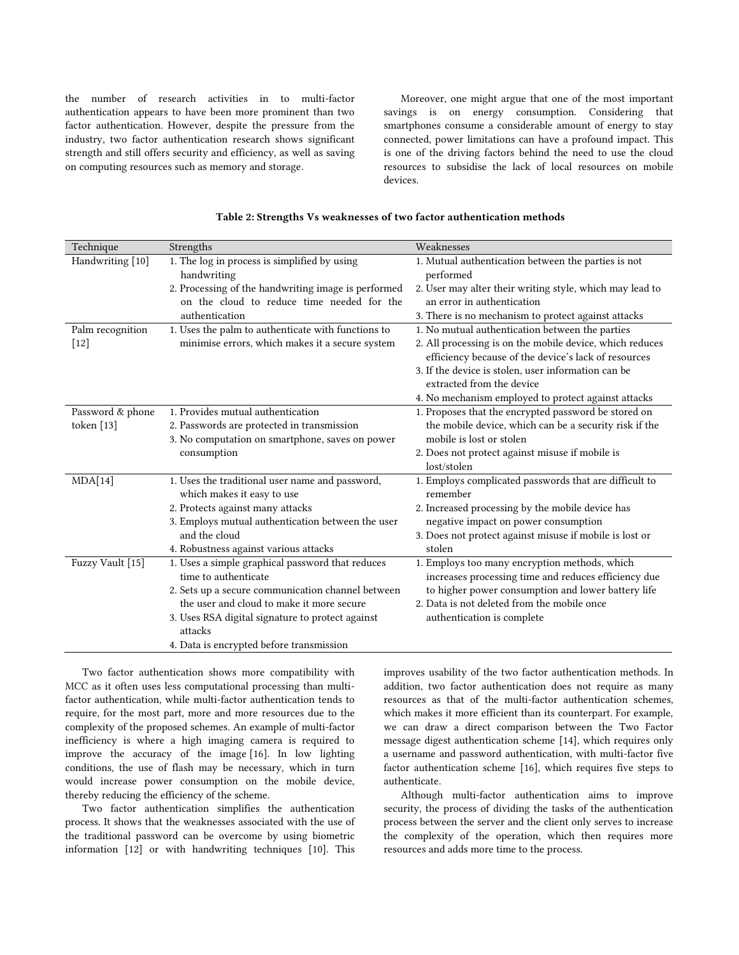the number of research activities in to multi-factor authentication appears to have been more prominent than two factor authentication. However, despite the pressure from the industry, two factor authentication research shows significant strength and still offers security and efficiency, as well as saving on computing resources such as memory and storage.

Moreover, one might argue that one of the most important savings is on energy consumption. Considering that smartphones consume a considerable amount of energy to stay connected, power limitations can have a profound impact. This is one of the driving factors behind the need to use the cloud resources to subsidise the lack of local resources on mobile devices.

| Technique        | Strengths                                                   | Weaknesses                                               |
|------------------|-------------------------------------------------------------|----------------------------------------------------------|
| Handwriting [10] | 1. The log in process is simplified by using                | 1. Mutual authentication between the parties is not      |
|                  | handwriting                                                 | performed                                                |
|                  | 2. Processing of the handwriting image is performed         | 2. User may alter their writing style, which may lead to |
|                  | on the cloud to reduce time needed for the                  | an error in authentication                               |
|                  | authentication                                              | 3. There is no mechanism to protect against attacks      |
| Palm recognition | 1. Uses the palm to authenticate with functions to          | 1. No mutual authentication between the parties          |
| $[12]$           | minimise errors, which makes it a secure system             | 2. All processing is on the mobile device, which reduces |
|                  |                                                             | efficiency because of the device's lack of resources     |
|                  |                                                             | 3. If the device is stolen, user information can be      |
|                  |                                                             | extracted from the device                                |
|                  |                                                             | 4. No mechanism employed to protect against attacks      |
| Password & phone | 1. Provides mutual authentication                           | 1. Proposes that the encrypted password be stored on     |
| token $[13]$     | 2. Passwords are protected in transmission                  | the mobile device, which can be a security risk if the   |
|                  | 3. No computation on smartphone, saves on power             | mobile is lost or stolen                                 |
|                  | consumption                                                 | 2. Does not protect against misuse if mobile is          |
|                  |                                                             | lost/stolen                                              |
| MDA[14]          | 1. Uses the traditional user name and password,             | 1. Employs complicated passwords that are difficult to   |
|                  | which makes it easy to use                                  | remember                                                 |
|                  | 2. Protects against many attacks                            | 2. Increased processing by the mobile device has         |
|                  | 3. Employs mutual authentication between the user           | negative impact on power consumption                     |
|                  | and the cloud                                               | 3. Does not protect against misuse if mobile is lost or  |
|                  | 4. Robustness against various attacks                       | stolen                                                   |
| Fuzzy Vault [15] | 1. Uses a simple graphical password that reduces            | 1. Employs too many encryption methods, which            |
|                  | time to authenticate                                        | increases processing time and reduces efficiency due     |
|                  | 2. Sets up a secure communication channel between           | to higher power consumption and lower battery life       |
|                  | the user and cloud to make it more secure                   | 2. Data is not deleted from the mobile once              |
|                  | 3. Uses RSA digital signature to protect against<br>attacks | authentication is complete                               |
|                  | 4. Data is encrypted before transmission                    |                                                          |

#### <span id="page-7-0"></span>**Table 2: Strengths Vs weaknesses of two factor authentication methods**

Two factor authentication shows more compatibility with MCC as it often uses less computational processing than multifactor authentication, while multi-factor authentication tends to require, for the most part, more and more resources due to the complexity of the proposed schemes. An example of multi-factor inefficiency is where a high imaging camera is required to improve the accuracy of the image [\[16\].](#page-9-11) In low lighting conditions, the use of flash may be necessary, which in turn would increase power consumption on the mobile device, thereby reducing the efficiency of the scheme.

Two factor authentication simplifies the authentication process. It shows that the weaknesses associated with the use of the traditional password can be overcome by using biometric information [\[12\]](#page-9-7) or with handwriting techniques [\[10\].](#page-9-5) This

improves usability of the two factor authentication methods. In addition, two factor authentication does not require as many resources as that of the multi-factor authentication schemes, which makes it more efficient than its counterpart. For example, we can draw a direct comparison between the Two Factor message digest authentication scheme [\[14\],](#page-9-9) which requires only a username and password authentication, with multi-factor five factor authentication scheme [\[16\],](#page-9-11) which requires five steps to authenticate.

Although multi-factor authentication aims to improve security, the process of dividing the tasks of the authentication process between the server and the client only serves to increase the complexity of the operation, which then requires more resources and adds more time to the process.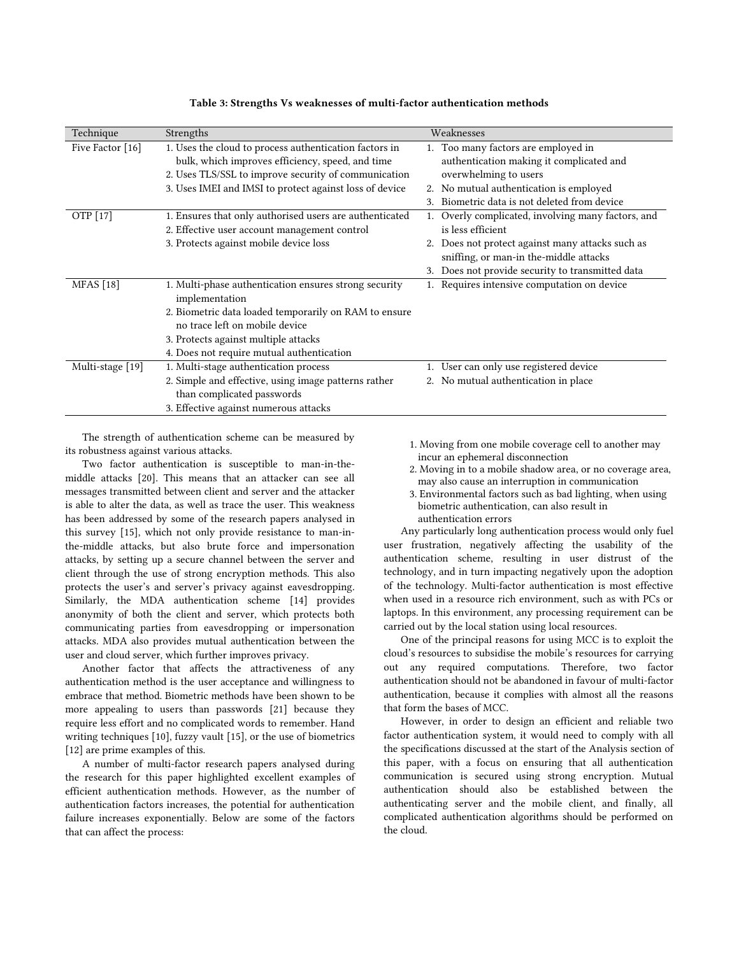| Technique        | Strengths                                                               | Weaknesses                                       |
|------------------|-------------------------------------------------------------------------|--------------------------------------------------|
| Five Factor [16] | 1. Uses the cloud to process authentication factors in                  | 1. Too many factors are employed in              |
|                  | bulk, which improves efficiency, speed, and time                        | authentication making it complicated and         |
|                  | 2. Uses TLS/SSL to improve security of communication                    | overwhelming to users                            |
|                  | 3. Uses IMEI and IMSI to protect against loss of device                 | 2. No mutual authentication is employed          |
|                  |                                                                         | 3. Biometric data is not deleted from device     |
| OTP [17]         | 1. Ensures that only authorised users are authenticated                 | Overly complicated, involving many factors, and  |
|                  | 2. Effective user account management control                            | is less efficient                                |
|                  | 3. Protects against mobile device loss                                  | 2. Does not protect against many attacks such as |
|                  |                                                                         | sniffing, or man-in the-middle attacks           |
|                  |                                                                         | 3. Does not provide security to transmitted data |
| <b>MFAS</b> [18] | 1. Multi-phase authentication ensures strong security<br>implementation | 1. Requires intensive computation on device      |
|                  | 2. Biometric data loaded temporarily on RAM to ensure                   |                                                  |
|                  | no trace left on mobile device                                          |                                                  |
|                  | 3. Protects against multiple attacks                                    |                                                  |
|                  | 4. Does not require mutual authentication                               |                                                  |
| Multi-stage [19] | 1. Multi-stage authentication process                                   | 1. User can only use registered device           |
|                  | 2. Simple and effective, using image patterns rather                    | 2. No mutual authentication in place             |
|                  | than complicated passwords                                              |                                                  |
|                  | 3. Effective against numerous attacks                                   |                                                  |
|                  |                                                                         |                                                  |

#### **Table 3: Strengths Vs weaknesses of multi-factor authentication methods**

The strength of authentication scheme can be measured by its robustness against various attacks.

Two factor authentication is susceptible to man-in-themiddle attacks [\[20\].](#page-9-15) This means that an attacker can see all messages transmitted between client and server and the attacker is able to alter the data, as well as trace the user. This weakness has been addressed by some of the research papers analysed in this survey [\[15\],](#page-9-10) which not only provide resistance to man-inthe-middle attacks, but also brute force and impersonation attacks, by setting up a secure channel between the server and client through the use of strong encryption methods. This also protects the user's and server's privacy against eavesdropping. Similarly, the MDA authentication scheme [\[14\]](#page-9-9) provides anonymity of both the client and server, which protects both communicating parties from eavesdropping or impersonation attacks. MDA also provides mutual authentication between the user and cloud server, which further improves privacy.

Another factor that affects the attractiveness of any authentication method is the user acceptance and willingness to embrace that method. Biometric methods have been shown to be more appealing to users than passwords [\[21\]](#page-9-16) because they require less effort and no complicated words to remember. Hand writing techniques [\[10\],](#page-9-5) fuzzy vault [\[15\],](#page-9-10) or the use of biometrics [\[12\]](#page-9-7) are prime examples of this.

A number of multi-factor research papers analysed during the research for this paper highlighted excellent examples of efficient authentication methods. However, as the number of authentication factors increases, the potential for authentication failure increases exponentially. Below are some of the factors that can affect the process:

- 1. Moving from one mobile coverage cell to another may incur an ephemeral disconnection
- 2. Moving in to a mobile shadow area, or no coverage area, may also cause an interruption in communication
- 3. Environmental factors such as bad lighting, when using biometric authentication, can also result in authentication errors

Any particularly long authentication process would only fuel user frustration, negatively affecting the usability of the authentication scheme, resulting in user distrust of the technology, and in turn impacting negatively upon the adoption of the technology. Multi-factor authentication is most effective when used in a resource rich environment, such as with PCs or laptops. In this environment, any processing requirement can be carried out by the local station using local resources.

One of the principal reasons for using MCC is to exploit the cloud's resources to subsidise the mobile's resources for carrying out any required computations. Therefore, two factor authentication should not be abandoned in favour of multi-factor authentication, because it complies with almost all the reasons that form the bases of MCC.

However, in order to design an efficient and reliable two factor authentication system, it would need to comply with all the specifications discussed at the start of the Analysis section of this paper, with a focus on ensuring that all authentication communication is secured using strong encryption. Mutual authentication should also be established between the authenticating server and the mobile client, and finally, all complicated authentication algorithms should be performed on the cloud.